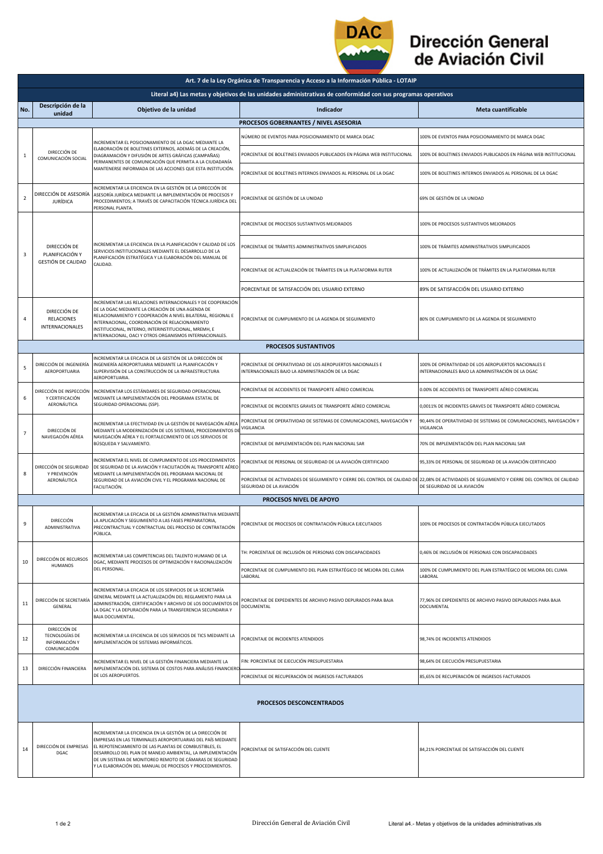

## Dirección General de Aviación Civil

|                                                                                                               | Art. 7 de la Ley Orgánica de Transparencia y Acceso a la Información Pública - LOTAIP |                                                                                                                                                                                                                                                                                                                                                                             |                                                                                                                                                                              |                                                                                                           |  |  |  |  |
|---------------------------------------------------------------------------------------------------------------|---------------------------------------------------------------------------------------|-----------------------------------------------------------------------------------------------------------------------------------------------------------------------------------------------------------------------------------------------------------------------------------------------------------------------------------------------------------------------------|------------------------------------------------------------------------------------------------------------------------------------------------------------------------------|-----------------------------------------------------------------------------------------------------------|--|--|--|--|
| Literal a4) Las metas y objetivos de las unidades administrativas de conformidad con sus programas operativos |                                                                                       |                                                                                                                                                                                                                                                                                                                                                                             |                                                                                                                                                                              |                                                                                                           |  |  |  |  |
| No.                                                                                                           | Descripción de la<br>unidad                                                           | Objetivo de la unidad                                                                                                                                                                                                                                                                                                                                                       | Indicador                                                                                                                                                                    | <b>Meta cuantificable</b>                                                                                 |  |  |  |  |
| PROCESOS GOBERNANTES / NIVEL ASESORIA                                                                         |                                                                                       |                                                                                                                                                                                                                                                                                                                                                                             |                                                                                                                                                                              |                                                                                                           |  |  |  |  |
| 1                                                                                                             | DIRECCIÓN DE<br>COMUNICACIÓN SOCIAL                                                   | INCREMENTAR EL POSICIONAMIENTO DE LA DGAC MEDIANTE LA<br>ELABORACIÓN DE BOLETINES EXTERNOS. ADEMÁS DE LA CREACIÓN.<br>DIAGRAMACIÓN Y DIFUSIÓN DE ARTES GRÁFICAS (CAMPAÑAS)<br>PERMANENTES DE COMUNICACIÓN QUE PERMITA A LA CIUDADANÍA<br>MANTENERSE INFORMADA DE LAS ACCIONES QUE ESTA INSTITUCIÓN.                                                                         | NÚMERO DE EVENTOS PARA POSICIONAMIENTO DE MARCA DGAC                                                                                                                         | 100% DE EVENTOS PARA POSICIONAMIENTO DE MARCA DGAC                                                        |  |  |  |  |
|                                                                                                               |                                                                                       |                                                                                                                                                                                                                                                                                                                                                                             | PORCENTAJE DE BOLETINES ENVIADOS PUBLICADOS EN PÁGINA WEB INSTITUCIONAL                                                                                                      | 100% DE BOLETINES ENVIADOS PUBLICADOS EN PÁGINA WEB INSTITUCIONAL                                         |  |  |  |  |
|                                                                                                               |                                                                                       |                                                                                                                                                                                                                                                                                                                                                                             | PORCENTAJE DE BOLETINES INTERNOS ENVIADOS AL PERSONAL DE LA DGAC                                                                                                             | 100% DE BOLETINES INTERNOS ENVIADOS AL PERSONAL DE LA DGAC                                                |  |  |  |  |
| $\overline{2}$                                                                                                | DIRECCIÓN DE ASESORÍA<br><b>JURÍDICA</b>                                              | INCREMENTAR LA EFICIENCIA EN LA GESTIÓN DE LA DIRECCIÓN DE<br>ASESORÍA JURÍDICA MEDIANTE LA IMPLEMENTACIÓN DE PROCESOS Y<br>PROCEDIMIENTOS; A TRAVÉS DE CAPACITACIÓN TÉCNICA JURÍDICA DEL<br>PERSONAL PLANTA                                                                                                                                                                | PORCENTAJE DE GESTIÓN DE LA UNIDAD                                                                                                                                           | 69% DE GESTIÓN DE LA UNIDAD                                                                               |  |  |  |  |
| 3                                                                                                             | DIRECCIÓN DE<br>PLANIFICACIÓN Y<br><b>GESTIÓN DE CALIDAD</b>                          | INCREMENTAR LA EFICIENCIA EN LA PLANIFICACIÓN Y CALIDAD DE LOS<br>SERVICIOS INSTITUCIONALES MEDIANTE EL DESARROLLO DE LA<br>PLANIFICACIÓN ESTRATÉGICA Y LA ELABORACIÓN DEL MANUAL DE<br>CALIDAD.                                                                                                                                                                            | PORCENTAJE DE PROCESOS SUSTANTIVOS MEJORADOS                                                                                                                                 | 100% DE PROCESOS SUSTANTIVOS MEJORADOS                                                                    |  |  |  |  |
|                                                                                                               |                                                                                       |                                                                                                                                                                                                                                                                                                                                                                             | PORCENTAJE DE TRÁMITES ADMINISTRATIVOS SIMPLIFICADOS                                                                                                                         | 100% DE TRÁMITES ADMINISTRATIVOS SIMPLIFICADOS                                                            |  |  |  |  |
|                                                                                                               |                                                                                       |                                                                                                                                                                                                                                                                                                                                                                             | PORCENTAJE DE ACTUALIZACIÓN DE TRÁMITES EN LA PLATAFORMA RUTER                                                                                                               | 100% DE ACTUALIZACIÓN DE TRÁMITES EN LA PLATAFORMA RUTER                                                  |  |  |  |  |
|                                                                                                               |                                                                                       |                                                                                                                                                                                                                                                                                                                                                                             | PORCENTAJE DE SATISFACCIÓN DEL USUARIO EXTERNO                                                                                                                               | 89% DE SATISFACCIÓN DEL USUARIO EXTERNO                                                                   |  |  |  |  |
| 4                                                                                                             | DIRECCIÓN DE<br><b>RELACIONES</b><br>INTERNACIONALES                                  | INCREMENTAR LAS RELACIONES INTERNACIONALES Y DE COOPERACIÓN<br>DE LA DGAC MEDIANTE LA CREACIÓN DE UNA AGENDA DE<br>RELACIONAMIENTO Y COOPERACIÓN A NIVEL BILATERAL, REGIONAL E<br>INTERNACIONAL, COORDINACIÓN DE RELACIONAMIENTO<br>INSTITUCIONAL, INTERNO, INTERINSTITUCIONAL, MREMH, E<br>INTERNACIONAL, OACI Y OTROS ORGANISMOS INTERNACIONALES.                         | PORCENTAJE DE CUMPLIMIENTO DE LA AGENDA DE SEGUIMIENTO                                                                                                                       | 80% DE CUMPLIMIENTO DE LA AGENDA DE SEGUIMIENTO                                                           |  |  |  |  |
|                                                                                                               |                                                                                       |                                                                                                                                                                                                                                                                                                                                                                             | <b>PROCESOS SUSTANTIVOS</b>                                                                                                                                                  |                                                                                                           |  |  |  |  |
| 5                                                                                                             | DIRECCIÓN DE INGENIERÍA<br>AEROPORTUARIA                                              | INCREMENTAR LA EFICACIA DE LA GESTIÓN DE LA DIRECCIÓN DE<br>INGENIERÍA AEROPORTUARIA MEDIANTE LA PLANIFICACIÓN Y<br>SUPERVISIÓN DE LA CONSTRUCCIÓN DE LA INFRAESTRUCTURA<br>AEROPORTUARIA                                                                                                                                                                                   | PORCENTAJE DE OPERATIVIDAD DE LOS AEROPUERTOS NACIONALES E<br>NTERNACIONALES BAJO LA ADMINISTRACIÓN DE LA DGAC                                                               | 100% DE OPERATIVIDAD DE LOS AEROPUERTOS NACIONALES E<br>INTERNACIONALES BAJO LA ADMINISTRACIÓN DE LA DGAC |  |  |  |  |
|                                                                                                               | DIRECCIÓN DE INSPECCIÓN                                                               | INCREMENTAR LOS ESTÁNDARES DE SEGURIDAD OPERACIONAL                                                                                                                                                                                                                                                                                                                         | PORCENTAJE DE ACCIDENTES DE TRANSPORTE AÉREO COMERCIAL                                                                                                                       | 0.00% DE ACCIDENTES DE TRANSPORTE AÉREO COMERCIAL                                                         |  |  |  |  |
| 6                                                                                                             | Y CERTIFICACIÓN<br>AERONÁUTICA                                                        | MEDIANTE LA IMPLEMENTACIÓN DEL PROGRAMA ESTATAL DE<br>SEGURIDAD OPERACIONAL (SSP).                                                                                                                                                                                                                                                                                          | PORCENTAJE DE INCIDENTES GRAVES DE TRANSPORTE AÉREO COMERCIAL                                                                                                                | 0,0011% DE INCIDENTES GRAVES DE TRANSPORTE AÉREO COMERCIAL                                                |  |  |  |  |
| $\overline{7}$                                                                                                | DIRECCIÓN DE<br>NAVEGACIÓN AÉREA                                                      | INCREMENTAR LA EFECTIVIDAD EN LA GESTIÓN DE NAVEGACIÓN AÉREA<br>MEDIANTE LA MODERNIZACIÓN DE LOS SISTEMAS, PROCEDIMIENTOS D<br>NAVEGACIÓN AÉREA Y EL FORTALECIMIENTO DE LOS SERVICIOS DE<br>BÚSQUEDA Y SALVAMENTO.                                                                                                                                                          | PORCENTAJE DE OPERATIVIDAD DE SISTEMAS DE COMUNICACIONES, NAVEGACIÓN Y<br>VIGILANCIA                                                                                         | 90,44% DE OPERATIVIDAD DE SISTEMAS DE COMUNICACIONES, NAVEGACIÓN Y<br>VIGILANCIA                          |  |  |  |  |
|                                                                                                               |                                                                                       |                                                                                                                                                                                                                                                                                                                                                                             | PORCENTAJE DE IMPLEMENTACIÓN DEL PLAN NACIONAL SAR                                                                                                                           | 70% DE IMPLEMENTACIÓN DEL PLAN NACIONAL SAR                                                               |  |  |  |  |
| 8                                                                                                             | DIRECCIÓN DE SEGURIDAD                                                                | INCREMENTAR EL NIVEL DE CUMPLIMIENTO DE LOS PROCEDIMIENTOS<br>DE SEGURIDAD DE LA AVIACIÓN Y FACILITACIÓN AL TRANSPORTE AÉREO<br>Y PREVENCIÓN<br>MEDIANTE LA IMPLEMENTACIÓN DEL PROGRAMA NACIONAL DE<br>AERONÁUTICA<br>SEGURIDAD DE LA AVIACIÓN CIVIL Y EL PROGRAMA NACIONAL DE<br>FACILITACIÓN.                                                                             | PORCENTAJE DE PERSONAL DE SEGURIDAD DE LA AVIACIÓN CERTIFICADO                                                                                                               | 95,33% DE PERSONAL DE SEGURIDAD DE LA AVIACIÓN CERTIFICADO                                                |  |  |  |  |
|                                                                                                               |                                                                                       |                                                                                                                                                                                                                                                                                                                                                                             | PORCENTAJE DE ACTIVIDADES DE SEGUIMIENTO Y CIERRE DEL CONTROL DE CALIDAD DE 22,08% DE ACTIVIDADES DE SEGUIMIENTO Y CIERRE DEL CONTROL DE CALIDAD<br>SEGURIDAD DE LA AVIACIÓN | DE SEGURIDAD DE LA AVIACIÓN                                                                               |  |  |  |  |
|                                                                                                               |                                                                                       |                                                                                                                                                                                                                                                                                                                                                                             | PROCESOS NIVEL DE APOYO                                                                                                                                                      |                                                                                                           |  |  |  |  |
| 9                                                                                                             | DIRECCIÓN<br>ADMINISTRATIVA                                                           | INCREMENTAR LA EFICACIA DE LA GESTIÓN ADMINISTRATIVA MEDIANTE<br>LA APLICACIÓN Y SEGUIMIENTO A LAS FASES PREPARATORIA,<br>PRECONTRACTUAL Y CONTRACTUAL DEL PROCESO DE CONTRATACIÓN<br>PUBLICA                                                                                                                                                                               | PORCENTAJE DE PROCESOS DE CONTRATACIÓN PÚBLICA EJECUTADOS                                                                                                                    | 100% DE PROCESOS DE CONTRATACIÓN PÚBLICA EJECUTADOS                                                       |  |  |  |  |
| 10                                                                                                            | DIRECCIÓN DE RECURSOS<br><b>HUMANOS</b>                                               | NCREMENTAR LAS COMPETENCIAS DEL TALENTO HUMANO DE LA<br>DGAC, MEDIANTE PROCESOS DE OPTIMIZACIÓN Y RACIONALIZACIÓN<br>DEL PERSONAL.                                                                                                                                                                                                                                          | TH: PORCENTAJE DE INCLUSIÓN DE PERSONAS CON DISCAPACIDADES                                                                                                                   | 0,46% DE INCLUSIÓN DE PERSONAS CON DISCAPACIDADES                                                         |  |  |  |  |
|                                                                                                               |                                                                                       |                                                                                                                                                                                                                                                                                                                                                                             | PORCENTAJE DE CUMPLIMIENTO DEL PLAN ESTRATÉGICO DE MEJORA DEL CLIMA<br>LABORAL                                                                                               | 100% DE CUMPLIMIENTO DEL PLAN ESTRATÉGICO DE MEJORA DEL CLIMA<br>LABORAL                                  |  |  |  |  |
| 11                                                                                                            | DIRECCIÓN DE SECRETARÍA<br>GENERAL                                                    | INCREMENTAR LA EFICACIA DE LOS SERVICIOS DE LA SECRETARÍA<br>GENERAL MEDIANTE LA ACTUALIZACIÓN DEL REGLAMENTO PARA LA<br>ADMINISTRACIÓN, CERTIFICACIÓN Y ARCHIVO DE LOS DOCUMENTOS DE<br>LA DGAC Y LA DEPURACIÓN PARA LA TRANSFERENCIA SECUNDARIA Y<br>BAJA DOCUMENTAL.                                                                                                     | ORCENTAJE DE EXPEDIENTES DE ARCHIVO PASIVO DEPURADOS PARA BAJA<br>DOCUMENTAL                                                                                                 | 77,96% DE EXPEDIENTES DE ARCHIVO PASIVO DEPURADOS PARA BAJA<br>DOCUMENTAL                                 |  |  |  |  |
| 12                                                                                                            | DIRECCIÓN DE<br>TECNOLOGÍAS DE<br>INFORMACIÓN Y<br>COMUNICACIÓN                       | INCREMENTAR LA EFICIENCIA DE LOS SERVICIOS DE TICS MEDIANTE LA<br>IMPLEMENTACIÓN DE SISTEMAS INFORMÁTICOS.                                                                                                                                                                                                                                                                  | PORCENTAJE DE INCIDENTES ATENDIDOS                                                                                                                                           | 98,74% DE INCIDENTES ATENDIDOS                                                                            |  |  |  |  |
| 13                                                                                                            | DIRECCIÓN FINANCIERA                                                                  | INCREMENTAR EL NIVEL DE LA GESTIÓN FINANCIERA MEDIANTE LA<br>IMPLEMENTACIÓN DEL SISTEMA DE COSTOS PARA ANÁLISIS FINANCIERO<br>DE LOS AEROPUERTOS.                                                                                                                                                                                                                           | IN: PORCENTAJE DE EJECUCIÓN PRESUPUESTARIA                                                                                                                                   | 98,64% DE EJECUCIÓN PRESUPUESTARIA                                                                        |  |  |  |  |
|                                                                                                               |                                                                                       |                                                                                                                                                                                                                                                                                                                                                                             | PORCENTAJE DE RECUPERACIÓN DE INGRESOS FACTURADOS                                                                                                                            | 85,65% DE RECUPERACIÓN DE INGRESOS FACTURADOS                                                             |  |  |  |  |
| PROCESOS DESCONCENTRADOS                                                                                      |                                                                                       |                                                                                                                                                                                                                                                                                                                                                                             |                                                                                                                                                                              |                                                                                                           |  |  |  |  |
| 14                                                                                                            | DIRECCIÓN DE EMPRESAS<br>DGAC                                                         | INCREMENTAR LA EFICIENCIA EN LA GESTIÓN DE LA DIRECCIÓN DE<br>EMPRESAS EN LAS TERMINALES AEROPORTUARIAS DEL PAÍS MEDIANTE<br>EL REPOTENCIAMIENTO DE LAS PLANTAS DE COMBUSTIBLES, EL<br>DESARROLLO DEL PLAN DE MANEJO AMBIENTAL, LA IMPLEMENTACIÓN<br>DE UN SISTEMA DE MONITOREO REMOTO DE CÁMARAS DE SEGURIDAD<br>Y LA ELABORACIÓN DEL MANUAL DE PROCESOS Y PROCEDIMIENTOS. | PORCENTAJE DE SATISFACCIÓN DEL CLIENTE                                                                                                                                       | 84,21% PORCENTAJE DE SATISFACCIÓN DEL CLIENTE                                                             |  |  |  |  |